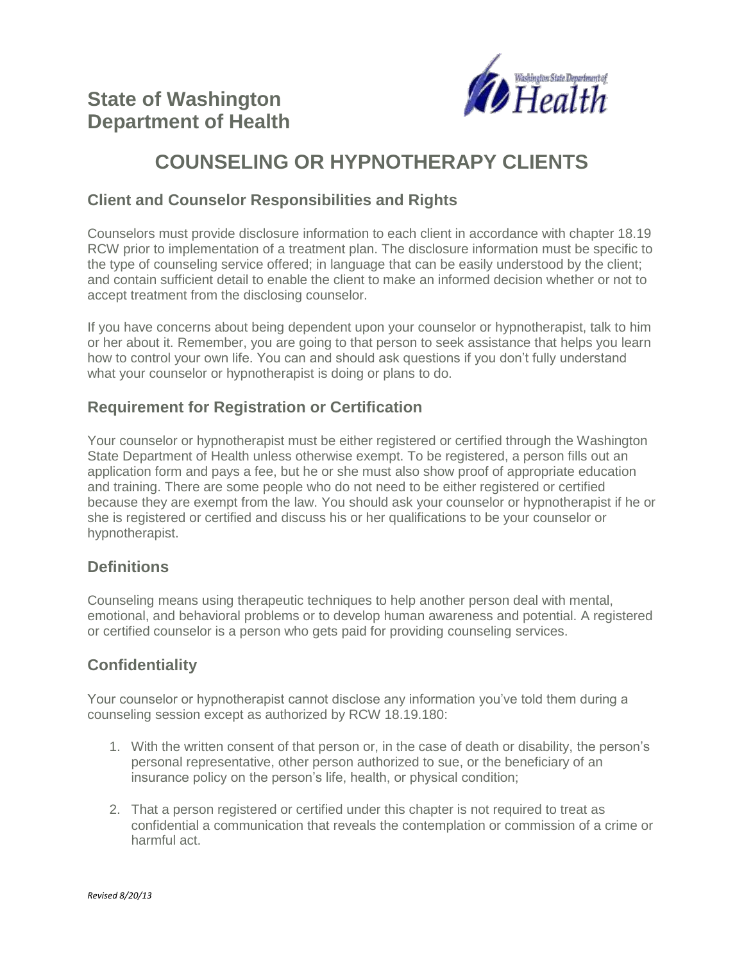

# **COUNSELING OR HYPNOTHERAPY CLIENTS**

# **Client and Counselor Responsibilities and Rights**

Counselors must provide disclosure information to each client in accordance with chapter 18.19 RCW prior to implementation of a treatment plan. The disclosure information must be specific to the type of counseling service offered; in language that can be easily understood by the client; and contain sufficient detail to enable the client to make an informed decision whether or not to accept treatment from the disclosing counselor.

If you have concerns about being dependent upon your counselor or hypnotherapist, talk to him or her about it. Remember, you are going to that person to seek assistance that helps you learn how to control your own life. You can and should ask questions if you don't fully understand what your counselor or hypnotherapist is doing or plans to do.

# **Requirement for Registration or Certification**

Your counselor or hypnotherapist must be either registered or certified through the Washington State Department of Health unless otherwise exempt. To be registered, a person fills out an application form and pays a fee, but he or she must also show proof of appropriate education and training. There are some people who do not need to be either registered or certified because they are exempt from the law. You should ask your counselor or hypnotherapist if he or she is registered or certified and discuss his or her qualifications to be your counselor or hypnotherapist.

# **Definitions**

Counseling means using therapeutic techniques to help another person deal with mental, emotional, and behavioral problems or to develop human awareness and potential. A registered or certified counselor is a person who gets paid for providing counseling services.

# **Confidentiality**

Your counselor or hypnotherapist cannot disclose any information you've told them during a counseling session except as authorized by RCW 18.19.180:

- 1. With the written consent of that person or, in the case of death or disability, the person's personal representative, other person authorized to sue, or the beneficiary of an insurance policy on the person's life, health, or physical condition;
- 2. That a person registered or certified under this chapter is not required to treat as confidential a communication that reveals the contemplation or commission of a crime or harmful act.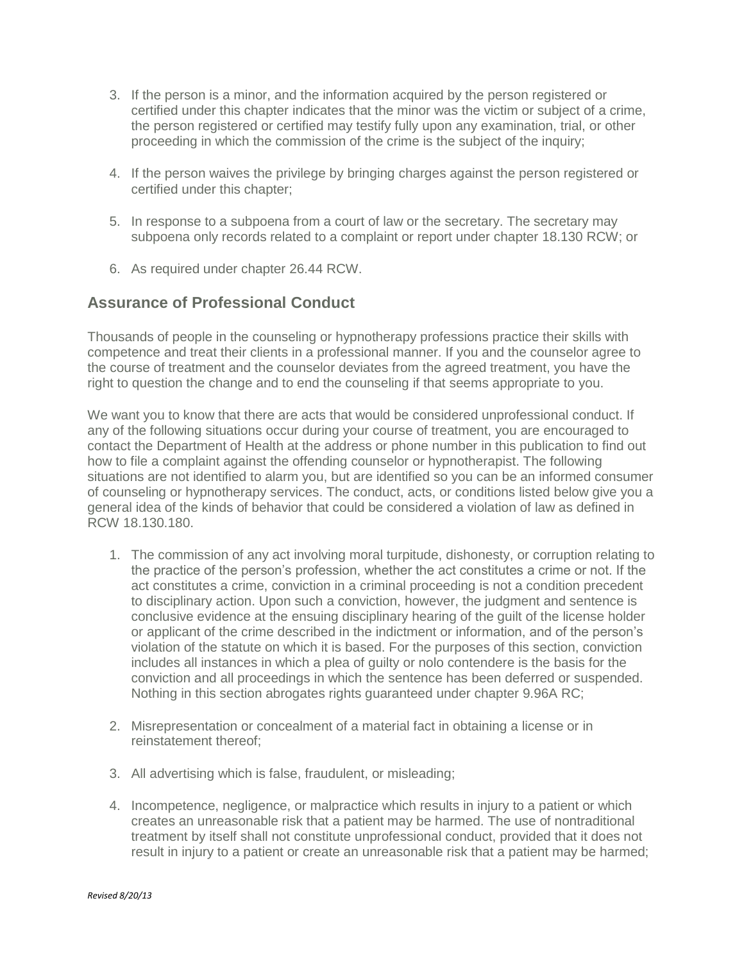- 3. If the person is a minor, and the information acquired by the person registered or certified under this chapter indicates that the minor was the victim or subject of a crime, the person registered or certified may testify fully upon any examination, trial, or other proceeding in which the commission of the crime is the subject of the inquiry;
- 4. If the person waives the privilege by bringing charges against the person registered or certified under this chapter;
- 5. In response to a subpoena from a court of law or the secretary. The secretary may subpoena only records related to a complaint or report under chapter 18.130 RCW; or
- 6. As required under chapter 26.44 RCW.

### **Assurance of Professional Conduct**

Thousands of people in the counseling or hypnotherapy professions practice their skills with competence and treat their clients in a professional manner. If you and the counselor agree to the course of treatment and the counselor deviates from the agreed treatment, you have the right to question the change and to end the counseling if that seems appropriate to you.

We want you to know that there are acts that would be considered unprofessional conduct. If any of the following situations occur during your course of treatment, you are encouraged to contact the Department of Health at the address or phone number in this publication to find out how to file a complaint against the offending counselor or hypnotherapist. The following situations are not identified to alarm you, but are identified so you can be an informed consumer of counseling or hypnotherapy services. The conduct, acts, or conditions listed below give you a general idea of the kinds of behavior that could be considered a violation of law as defined in RCW 18.130.180.

- 1. The commission of any act involving moral turpitude, dishonesty, or corruption relating to the practice of the person's profession, whether the act constitutes a crime or not. If the act constitutes a crime, conviction in a criminal proceeding is not a condition precedent to disciplinary action. Upon such a conviction, however, the judgment and sentence is conclusive evidence at the ensuing disciplinary hearing of the guilt of the license holder or applicant of the crime described in the indictment or information, and of the person's violation of the statute on which it is based. For the purposes of this section, conviction includes all instances in which a plea of guilty or nolo contendere is the basis for the conviction and all proceedings in which the sentence has been deferred or suspended. Nothing in this section abrogates rights guaranteed under chapter 9.96A RC;
- 2. Misrepresentation or concealment of a material fact in obtaining a license or in reinstatement thereof;
- 3. All advertising which is false, fraudulent, or misleading;
- 4. Incompetence, negligence, or malpractice which results in injury to a patient or which creates an unreasonable risk that a patient may be harmed. The use of nontraditional treatment by itself shall not constitute unprofessional conduct, provided that it does not result in injury to a patient or create an unreasonable risk that a patient may be harmed;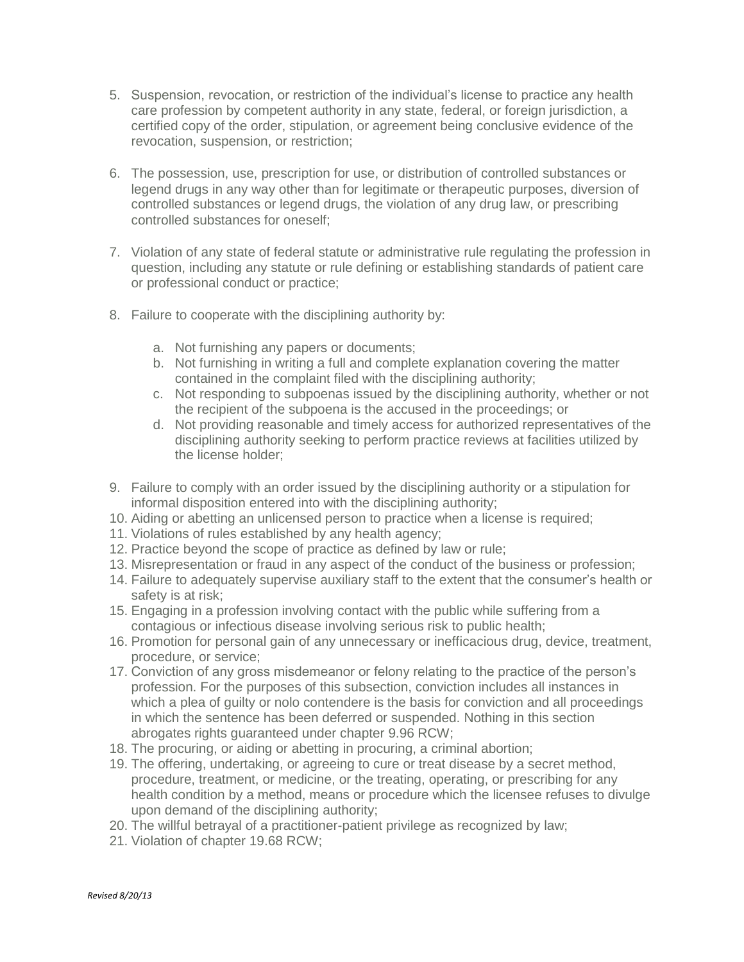- 5. Suspension, revocation, or restriction of the individual's license to practice any health care profession by competent authority in any state, federal, or foreign jurisdiction, a certified copy of the order, stipulation, or agreement being conclusive evidence of the revocation, suspension, or restriction;
- 6. The possession, use, prescription for use, or distribution of controlled substances or legend drugs in any way other than for legitimate or therapeutic purposes, diversion of controlled substances or legend drugs, the violation of any drug law, or prescribing controlled substances for oneself;
- 7. Violation of any state of federal statute or administrative rule regulating the profession in question, including any statute or rule defining or establishing standards of patient care or professional conduct or practice;
- 8. Failure to cooperate with the disciplining authority by:
	- a. Not furnishing any papers or documents;
	- b. Not furnishing in writing a full and complete explanation covering the matter contained in the complaint filed with the disciplining authority;
	- c. Not responding to subpoenas issued by the disciplining authority, whether or not the recipient of the subpoena is the accused in the proceedings; or
	- d. Not providing reasonable and timely access for authorized representatives of the disciplining authority seeking to perform practice reviews at facilities utilized by the license holder;
- 9. Failure to comply with an order issued by the disciplining authority or a stipulation for informal disposition entered into with the disciplining authority;
- 10. Aiding or abetting an unlicensed person to practice when a license is required;
- 11. Violations of rules established by any health agency;
- 12. Practice beyond the scope of practice as defined by law or rule;
- 13. Misrepresentation or fraud in any aspect of the conduct of the business or profession;
- 14. Failure to adequately supervise auxiliary staff to the extent that the consumer's health or safety is at risk;
- 15. Engaging in a profession involving contact with the public while suffering from a contagious or infectious disease involving serious risk to public health;
- 16. Promotion for personal gain of any unnecessary or inefficacious drug, device, treatment, procedure, or service;
- 17. Conviction of any gross misdemeanor or felony relating to the practice of the person's profession. For the purposes of this subsection, conviction includes all instances in which a plea of guilty or nolo contendere is the basis for conviction and all proceedings in which the sentence has been deferred or suspended. Nothing in this section abrogates rights guaranteed under chapter 9.96 RCW;
- 18. The procuring, or aiding or abetting in procuring, a criminal abortion;
- 19. The offering, undertaking, or agreeing to cure or treat disease by a secret method, procedure, treatment, or medicine, or the treating, operating, or prescribing for any health condition by a method, means or procedure which the licensee refuses to divulge upon demand of the disciplining authority;
- 20. The willful betrayal of a practitioner-patient privilege as recognized by law;
- 21. Violation of chapter 19.68 RCW;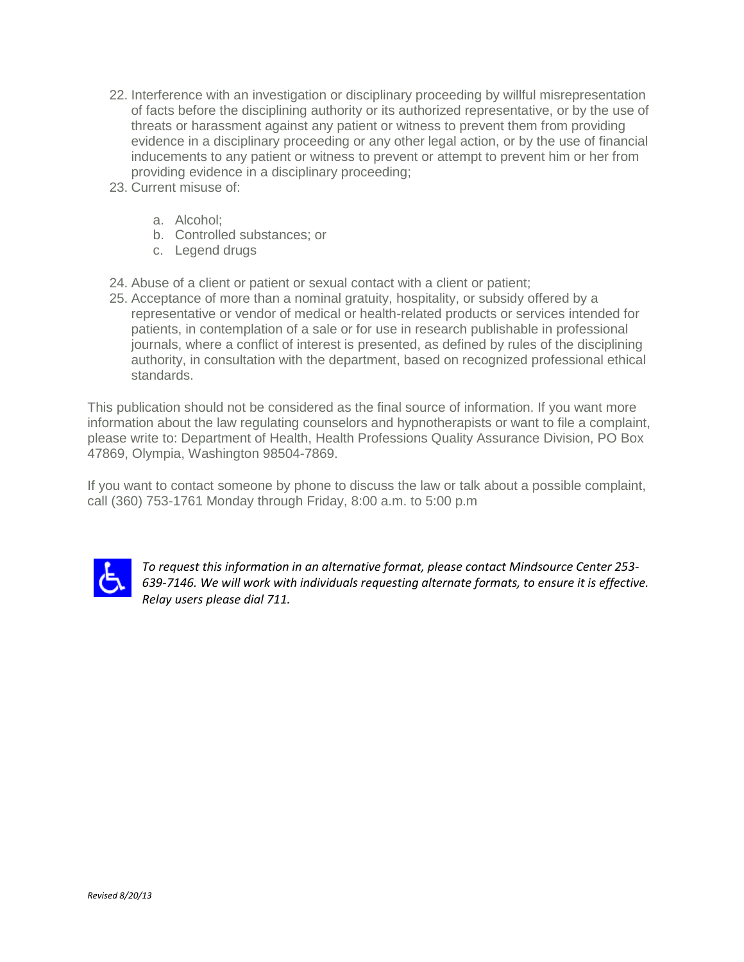- 22. Interference with an investigation or disciplinary proceeding by willful misrepresentation of facts before the disciplining authority or its authorized representative, or by the use of threats or harassment against any patient or witness to prevent them from providing evidence in a disciplinary proceeding or any other legal action, or by the use of financial inducements to any patient or witness to prevent or attempt to prevent him or her from providing evidence in a disciplinary proceeding;
- 23. Current misuse of:
	- a. Alcohol;
	- b. Controlled substances; or
	- c. Legend drugs
- 24. Abuse of a client or patient or sexual contact with a client or patient;
- 25. Acceptance of more than a nominal gratuity, hospitality, or subsidy offered by a representative or vendor of medical or health-related products or services intended for patients, in contemplation of a sale or for use in research publishable in professional journals, where a conflict of interest is presented, as defined by rules of the disciplining authority, in consultation with the department, based on recognized professional ethical standards.

This publication should not be considered as the final source of information. If you want more information about the law regulating counselors and hypnotherapists or want to file a complaint, please write to: Department of Health, Health Professions Quality Assurance Division, PO Box 47869, Olympia, Washington 98504-7869.

If you want to contact someone by phone to discuss the law or talk about a possible complaint, call (360) 753-1761 Monday through Friday, 8:00 a.m. to 5:00 p.m



*To request this information in an alternative format, please contact Mindsource Center 253- 639-7146. We will work with individuals requesting alternate formats, to ensure it is effective. Relay users please dial 711.*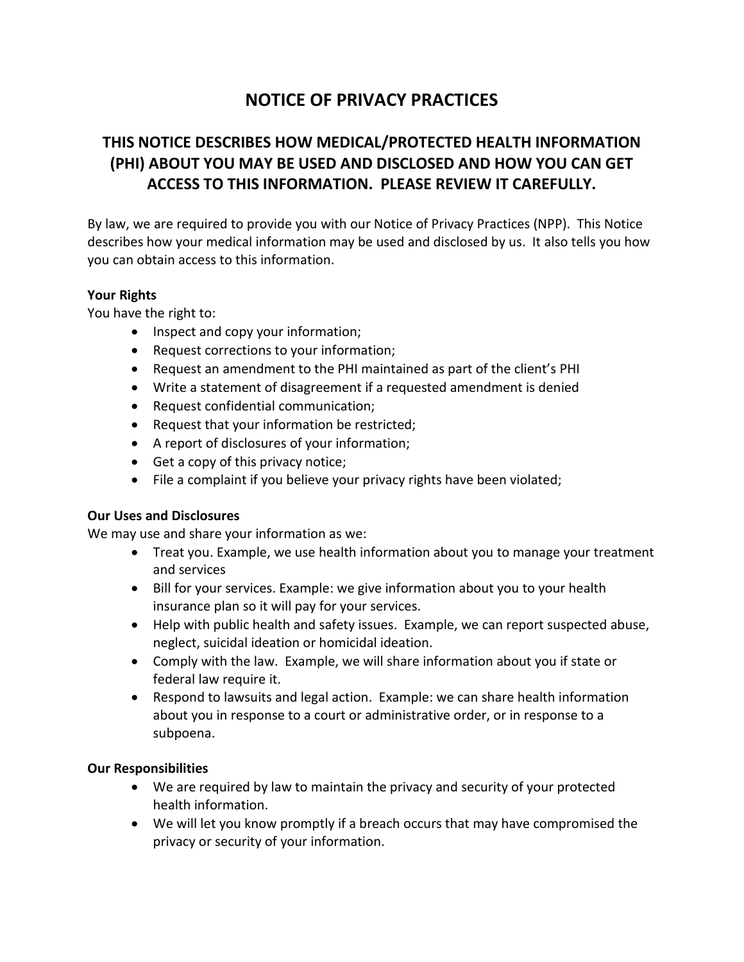# **NOTICE OF PRIVACY PRACTICES**

# **THIS NOTICE DESCRIBES HOW MEDICAL/PROTECTED HEALTH INFORMATION (PHI) ABOUT YOU MAY BE USED AND DISCLOSED AND HOW YOU CAN GET ACCESS TO THIS INFORMATION. PLEASE REVIEW IT CAREFULLY.**

By law, we are required to provide you with our Notice of Privacy Practices (NPP). This Notice describes how your medical information may be used and disclosed by us. It also tells you how you can obtain access to this information.

### **Your Rights**

You have the right to:

- Inspect and copy your information;
- Request corrections to your information;
- Request an amendment to the PHI maintained as part of the client's PHI
- Write a statement of disagreement if a requested amendment is denied
- Request confidential communication;
- Request that your information be restricted;
- A report of disclosures of your information;
- Get a copy of this privacy notice;
- File a complaint if you believe your privacy rights have been violated;

### **Our Uses and Disclosures**

We may use and share your information as we:

- Treat you. Example, we use health information about you to manage your treatment and services
- Bill for your services. Example: we give information about you to your health insurance plan so it will pay for your services.
- Help with public health and safety issues. Example, we can report suspected abuse, neglect, suicidal ideation or homicidal ideation.
- Comply with the law. Example, we will share information about you if state or federal law require it.
- Respond to lawsuits and legal action. Example: we can share health information about you in response to a court or administrative order, or in response to a subpoena.

#### **Our Responsibilities**

- We are required by law to maintain the privacy and security of your protected health information.
- We will let you know promptly if a breach occurs that may have compromised the privacy or security of your information.